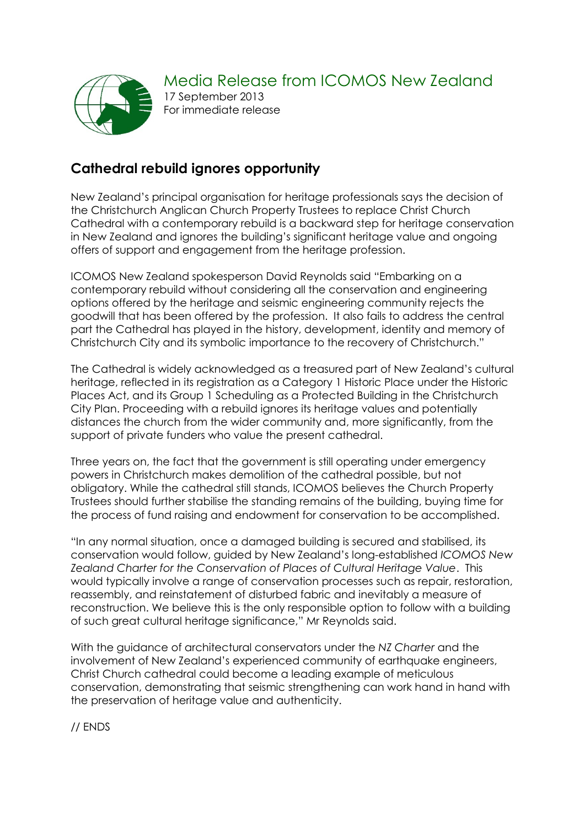

Media Release from ICOMOS New Zealand 17 September 2013 For immediate release

## **Cathedral rebuild ignores opportunity**

New Zealand's principal organisation for heritage professionals says the decision of the Christchurch Anglican Church Property Trustees to replace Christ Church Cathedral with a contemporary rebuild is a backward step for heritage conservation in New Zealand and ignores the building's significant heritage value and ongoing offers of support and engagement from the heritage profession.

ICOMOS New Zealand spokesperson David Reynolds said "Embarking on a contemporary rebuild without considering all the conservation and engineering options offered by the heritage and seismic engineering community rejects the goodwill that has been offered by the profession. It also fails to address the central part the Cathedral has played in the history, development, identity and memory of Christchurch City and its symbolic importance to the recovery of Christchurch."

The Cathedral is widely acknowledged as a treasured part of New Zealand's cultural heritage, reflected in its registration as a Category 1 Historic Place under the Historic Places Act, and its Group 1 Scheduling as a Protected Building in the Christchurch City Plan. Proceeding with a rebuild ignores its heritage values and potentially distances the church from the wider community and, more significantly, from the support of private funders who value the present cathedral.

Three years on, the fact that the government is still operating under emergency powers in Christchurch makes demolition of the cathedral possible, but not obligatory. While the cathedral still stands, ICOMOS believes the Church Property Trustees should further stabilise the standing remains of the building, buying time for the process of fund raising and endowment for conservation to be accomplished.

"In any normal situation, once a damaged building is secured and stabilised, its conservation would follow, guided by New Zealand's long-established *ICOMOS New Zealand Charter for the Conservation of Places of Cultural Heritage Value*. This would typically involve a range of conservation processes such as repair, restoration, reassembly, and reinstatement of disturbed fabric and inevitably a measure of reconstruction. We believe this is the only responsible option to follow with a building of such great cultural heritage significance," Mr Reynolds said.

With the guidance of architectural conservators under the *NZ Charter* and the involvement of New Zealand's experienced community of earthquake engineers, Christ Church cathedral could become a leading example of meticulous conservation, demonstrating that seismic strengthening can work hand in hand with the preservation of heritage value and authenticity.

// ENDS